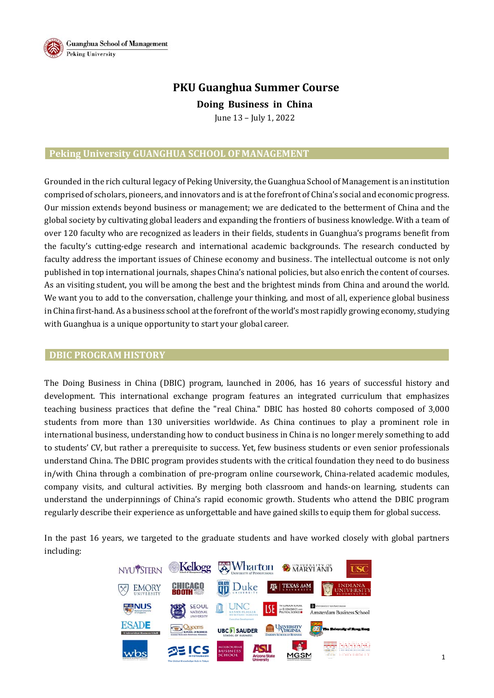

# **PKU Guanghua Summer Course**

**DoingBusiness** in China June 13 – July 1, 2022

## **Peking University GUANGHUA SCHOOL OFMANAGEMENT**

Grounded in the rich cultural legacy of Peking University, the Guanghua School of Management is an institution comprised of scholars, pioneers, and innovators and is at the forefront of China's social and economic progress. Our mission extends beyond business or management; we are dedicated to the betterment of China and the global society by cultivating global leaders and expanding the frontiers of business knowledge. With a team of over 120 faculty who are recognized as leaders in their fields, students in Guanghua's programs benefit from the faculty's cutting-edge research and international academic backgrounds. The research conducted by faculty address the important issues of Chinese economy and business. The intellectual outcome is not only published in top international journals, shapes China's national policies, but also enrich the content of courses. As an visiting student, you will be among the best and the brightest minds from China and around the world. We want you to add to the conversation, challenge your thinking, and most of all, experience global business in China first-hand. As a business school at the forefront of the world's most rapidly growing economy, studying with Guanghua is a unique opportunity to start your global career.

### **DBIC PROGRAM HISTORY**

The Doing Business in China (DBIC) program, launched in 2006, has 16 years of successful history and development. This international exchange program features an integrated curriculum that emphasizes teaching business practices that define the "real China." DBIC has hosted 80 cohorts composed of 3,000 students from more than 130 universities worldwide. As China continues to play a prominent role in international business, understanding how to conduct business in China is no longer merely something to add to students' CV, but rather a prerequisite to success. Yet, few business students or even senior professionals understand China. The DBIC program provides students with the critical foundation they need to do business in/with China through a combination of pre-program online coursework, China-related academic modules, company visits, and cultural activities. By merging both classroom and hands-on learning, students can understand the underpinnings of China's rapid economic growth. Students who attend the DBIC program regularly describe their experience as unforgettable and have gained skills to equip them for global success.

In the past 16 years, we targeted to the graduate students and have worked closely with global partners including:

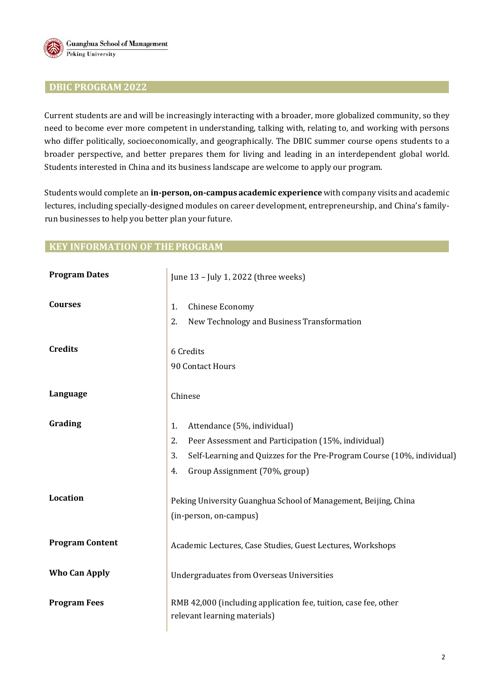

### **DBIC PROGRAM 2022**

Current students are and will be increasingly interacting with a broader, more globalized community, so they need to become ever more competent in understanding, talking with, relating to, and working with persons who differ politically, socioeconomically, and geographically. The DBIC summer course opens students to a broader perspective, and better prepares them for living and leading in an interdependent global world. Students interested in China and its business landscape are welcome to apply our program.

Students would complete an **in‐person, on‐campus academic experience** with company visits and academic lectures, including specially-designed modules on career development, entrepreneurship, and China's familyrun businesses to help you better plan your future.

### **KEY INFORMATION OF THE PROGRAM**

| <b>Program Dates</b>   | June 13 - July 1, 2022 (three weeks)                                                                                                                                                                                  |  |  |  |
|------------------------|-----------------------------------------------------------------------------------------------------------------------------------------------------------------------------------------------------------------------|--|--|--|
| <b>Courses</b>         | Chinese Economy<br>1.<br>New Technology and Business Transformation<br>2.                                                                                                                                             |  |  |  |
| <b>Credits</b>         | 6 Credits<br>90 Contact Hours                                                                                                                                                                                         |  |  |  |
| Language               | Chinese                                                                                                                                                                                                               |  |  |  |
| Grading                | Attendance (5%, individual)<br>1.<br>2.<br>Peer Assessment and Participation (15%, individual)<br>Self-Learning and Quizzes for the Pre-Program Course (10%, individual)<br>3.<br>Group Assignment (70%, group)<br>4. |  |  |  |
| Location               | Peking University Guanghua School of Management, Beijing, China<br>(in-person, on-campus)                                                                                                                             |  |  |  |
| <b>Program Content</b> | Academic Lectures, Case Studies, Guest Lectures, Workshops                                                                                                                                                            |  |  |  |
| <b>Who Can Apply</b>   | <b>Undergraduates from Overseas Universities</b>                                                                                                                                                                      |  |  |  |
| <b>Program Fees</b>    | RMB 42,000 (including application fee, tuition, case fee, other<br>relevant learning materials)                                                                                                                       |  |  |  |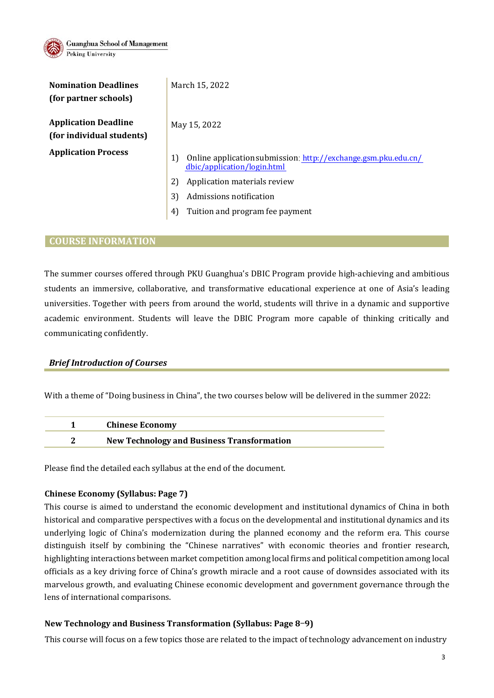

| <b>Nomination Deadlines</b><br>(for partner schools)     | March 15, 2022                                                                                      |  |  |
|----------------------------------------------------------|-----------------------------------------------------------------------------------------------------|--|--|
| <b>Application Deadline</b><br>(for individual students) | May 15, 2022                                                                                        |  |  |
| <b>Application Process</b>                               | Online application submission: http://exchange.gsm.pku.edu.cn/<br>1)<br>dbic/application/login.html |  |  |
|                                                          | Application materials review<br>2)                                                                  |  |  |
|                                                          | 3)<br>Admissions notification                                                                       |  |  |
|                                                          | Tuition and program fee payment<br>$\left 4\right $                                                 |  |  |

### **COURSE INFORMATION**

The summer courses offered through PKU Guanghua's DBIC Program provide high-achieving and ambitious students an immersive, collaborative, and transformative educational experience at one of Asia's leading universities. Together with peers from around the world, students will thrive in a dynamic and supportive academic environment. Students will leave the DBIC Program more capable of thinking critically and communicating confidently.

### *Brief Introduction of Courses*

With a theme of "Doing business in China", the two courses below will be delivered in the summer 2022:

| <b>Chinese Economy</b>                            |
|---------------------------------------------------|
| <b>New Technology and Business Transformation</b> |

Please find the detailed each syllabus at the end of the document.

### **Chinese Economy (Syllabus: Page 7)**

This course is aimed to understand the economic development and institutional dynamics of China in both historical and comparative perspectives with a focus on the developmental and institutional dynamics and its underlying logic of China's modernization during the planned economy and the reform era. This course distinguish itself by combining the "Chinese narratives" with economic theories and frontier research, highlighting interactions between market competition among local firms and political competition among local officials as a key driving force of China's growth miracle and a root cause of downsides associated with its marvelous growth, and evaluating Chinese economic development and government governance through the lens of international comparisons.

### **New Technology and Business Transformation (Syllabus: Page 8**-**9)**

This course will focus on a few topics those are related to the impact of technology advancement on industry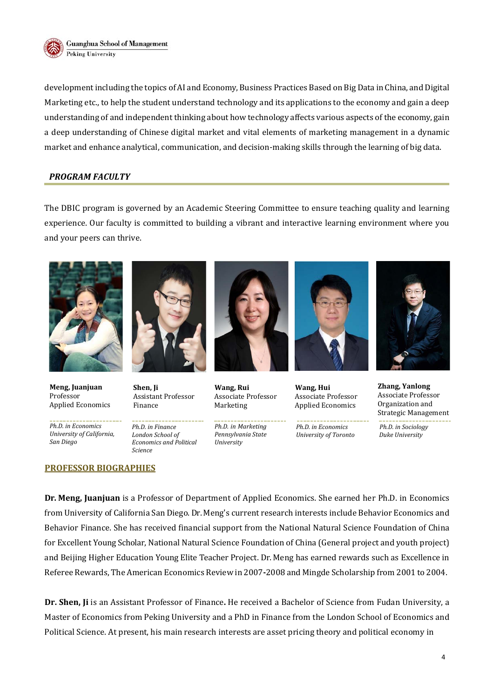

**Guanghua School of Management** Peking University

development including the topics of AI and Economy, Business Practices Based on Big Data in China, and Digital Marketing etc., to help the student understand technology and its applications to the economy and gain a deep understanding of and independent thinking about how technology affects various aspects of the economy, gain a deep understanding of Chinese digital market and vital elements of marketing management in a dynamic market and enhance analytical, communication, and decision-making skills through the learning of big data.

### *PROGRAM FACULTY*

The DBIC program is governed by an Academic Steering Committee to ensure teaching quality and learning experience. Our faculty is committed to building a vibrant and interactive learning environment where you and your peers can thrive.



**Meng, Juanjuan** Professor Applied Economics

*Ph.D. in Economics University of California, San Diego*

#### **PROFESSOR BIOGRAPHIES**



**Shen, Ji** Assistant Professor Finance

*Ph.D. in Finance London School of Economics and Political Science*



**Wang, Rui** Associate Professor Marketing

*Ph.D. in Marketing Pennsylvania State University*



**Wang, Hui** Associate Professor Applied Economics

*Ph.D. in Economics University of Toronto*



**Zhang, Yanlong** Associate Professor Organization and Strategic Management

*Ph.D. in Sociology Duke University*

**Dr. Meng, Juanjuan** is a Professor of Department of Applied Economics. She earned her Ph.D. in Economics from University of California San Diego. Dr. Meng's current research interests include Behavior Economics and Behavior Finance. She has received financial support from the National Natural Science Foundation of China for Excellent Young Scholar, National Natural Science Foundation of China (General project and youth project) and Beijing Higher Education Young Elite Teacher Project. Dr. Meng has earned rewards such as Excellence in Referee Rewards, The American Economics Review in 2007**‐**2008 and Mingde Scholarship from 2001 to 2004.

**Dr. Shen, Ji** is an Assistant Professor of Finance**.** He received a Bachelor of Science from Fudan University, a Master of Economics from Peking University and a PhD in Finance from the London School of Economics and Political Science. At present, his main research interests are asset pricing theory and political economy in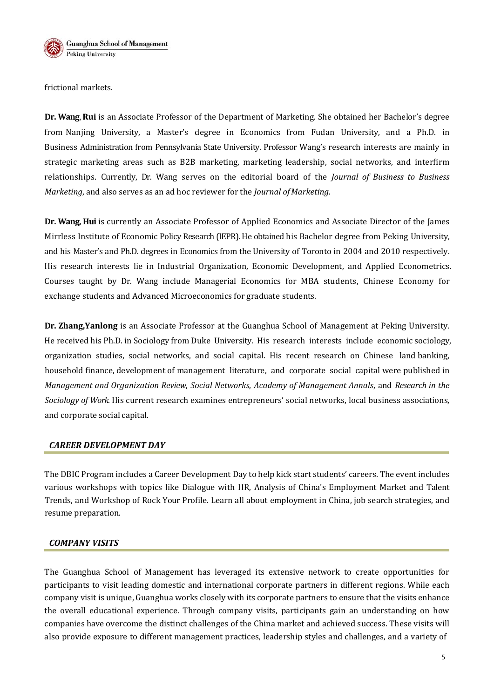

frictional markets.

**Dr. Wang**, **Rui** is an Associate Professor of the Department of Marketing. She obtained her Bachelor's degree from Nanjing University, a Master's degree in Economics from Fudan University, and a Ph.D. in Business Administration from Pennsylvania State University. Professor Wang's research interests are mainly in strategic marketing areas such as B2B marketing, marketing leadership, social networks, and interfirm relationships. Currently, Dr. Wang serves on the editorial board of the *Journal of Business to Business Marketing*, and also serves as an ad hoc reviewer for the *Journal ofMarketing*.

**Dr. Wang, Hui** is currently an Associate Professor of Applied Economics and Associate Director of the James Mirrless Institute of Economic Policy Research (IEPR). He obtained his Bachelor degree from Peking University, and his Master's and Ph.D. degrees in Economics from the University of Toronto in 2004 and 2010 respectively. His research interests lie in Industrial Organization, Economic Development, and Applied Econometrics. Courses taught by Dr. Wang include Managerial Economics for MBA students, Chinese Economy for exchange students and Advanced Microeconomics for graduate students.

**Dr. Zhang,Yanlong** is an Associate Professor at the Guanghua School of Management at Peking University. He received his Ph.D. in Sociology from Duke University. His research interests include economic sociology, organization studies, social networks, and social capital. His recent research on Chinese land banking, household finance, development of management literature, and corporate social capital were published in *Management and Organization Review*, *Social Networks*, *Academy of Management Annals*, and *Research in the Sociology of Work*. His current research examines entrepreneurs' social networks, local business associations, and corporate social capital.

### *CAREER DEVELOPMENT DAY*

The DBIC Program includes a Career Development Day to help kick start students' careers. The event includes various workshops with topics like Dialogue with HR, Analysis of China's Employment Market and Talent Trends, and Workshop of Rock Your Profile. Learn all about employment in China, job search strategies, and resume preparation.

### *COMPANY VISITS*

The Guanghua School of Management has leveraged its extensive network to create opportunities for participants to visit leading domestic and international corporate partners in different regions. While each company visit is unique, Guanghua works closely with its corporate partners to ensure that the visits enhance the overall educational experience. Through company visits, participants gain an understanding on how companies have overcome the distinct challenges of the China market and achieved success. These visits will also provide exposure to different management practices, leadership styles and challenges, and a variety of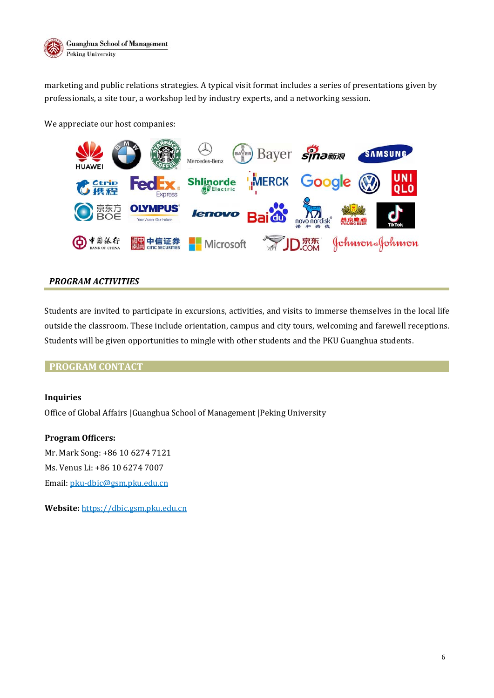

marketing and public relations strategies. A typical visit format includes a series of presentations given by professionals, a site tour, a workshop led by industry experts, and a networking session.

We appreciate our host companies:



### *PROGRAM ACTIVITIES*

Students are invited to participate in excursions, activities, and visits to immerse themselves in the local life outside the classroom. These include orientation, campus and city tours, welcoming and farewell receptions. Students will be given opportunities to mingle with other students and the PKU Guanghua students.

### **PROGRAM CONTACT**

### **Inquiries**

Office of Global Affairs |Guanghua School of Management |Peking University

**Program Officers:** Mr. Mark Song: +86 10 6274 7121 Ms. Venus Li: +86 10 6274 7007 Email: pku-dbic@gsm.pku.edu.cn

**Website:** https://dbic.gsm.pku.edu.cn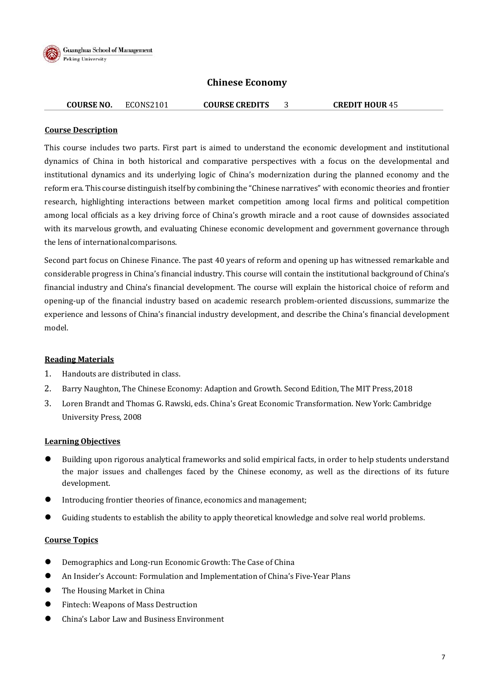

## **Chinese Economy**

## **COURSE NO.** ECONS2101 **COURSE CREDITS** 3 **CREDIT HOUR** 45

#### **Course Description**

This course includes two parts. First part is aimed to understand the economic development and institutional dynamics of China in both historical and comparative perspectives with a focus on the developmental and institutional dynamics and its underlying logic of China's modernization during the planned economy and the reform era. This course distinguish itself by combining the "Chinese narratives" with economic theories and frontier research, highlighting interactions between market competition among local firms and political competition among local officials as a key driving force of China's growth miracle and a root cause of downsides associated with its marvelous growth, and evaluating Chinese economic development and government governance through the lens of international comparisons.

Second part focus on Chinese Finance. The past 40 years of reform and opening up has witnessed remarkable and considerable progress in China's financial industry. This course will contain the institutional background of China's financial industry and China's financial development. The course will explain the historical choice of reform and opening-up of the financial industry based on academic research problem-oriented discussions, summarize the experience and lessons of China's financial industry development, and describe the China's financial development model.

### **Reading Materials**

- 1. Handouts are distributed in class.
- 2. Barry Naughton, The Chinese Economy: Adaption and Growth. Second Edition, The MIT Press, 2018
- 3. Loren Brandt and Thomas G. Rawski, eds. China's Great Economic Transformation. New York: Cambridge University Press, 2008

### **Learning Objectives**

- Building upon rigorous analytical frameworks and solid empirical facts, in order to help students understand the major issues and challenges faced by the Chinese economy, as well as the directions of its future development.
- Introducing frontier theories of finance, economics and management;
- Guiding students to establish the ability to apply theoretical knowledge and solve real world problems.

### **Course Topics**

- Demographics and Long-run Economic Growth: The Case of China
- An Insider's Account: Formulation and Implementation of China's Five-Year Plans
- The Housing Market in China
- **•** Fintech: Weapons of Mass Destruction
- China's Labor Law and Business Environment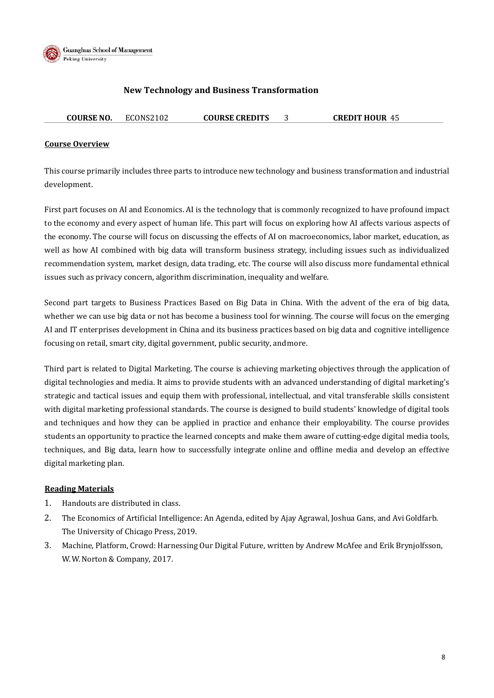

**Guanghua School of Management** Peking University

### **New Technology and Business Transformation**

| <b>COURSE NO.</b> | ECONS2102 | <b>COURSE CREDITS</b> | <b>CREDIT HOUR 45</b> |
|-------------------|-----------|-----------------------|-----------------------|
|                   |           |                       |                       |

#### **Course Overview**

This course primarily includes three parts to introduce new technology and business transformation and industrial development.

First part focuses on AI and Economics. AI is the technology that is commonly recognized to have profound impact to the economy and every aspect of human life. This part will focus on exploring how AI affects various aspects of the economy. The course will focus on discussing the effects of AI on macroeconomics, labor market, education, as well as how AI combined with big data will transform business strategy, including issues such as individualized recommendation system, market design, data trading, etc. The course will also discuss more fundamental ethnical issues such as privacy concern, algorithm discrimination, inequality and welfare.

Second part targets to Business Practices Based on Big Data in China. With the advent of the era of big data, whether we can use big data or not has become a business tool for winning. The course will focus on the emerging AI and IT enterprises development in China and its business practices based on big data and cognitive intelligence focusing on retail, smart city, digital government, public security, and more.

Third part is related to Digital Marketing. The course is achieving marketing objectives through the application of digital technologies and media. It aims to provide students with an advanced understanding of digital marketing's strategic and tactical issues and equip them with professional, intellectual, and vital transferable skills consistent with digital marketing professional standards. The course is designed to build students' knowledge of digital tools and techniques and how they can be applied in practice and enhance their employability. The course provides students an opportunity to practice the learned concepts and make them aware of cutting-edge digital media tools, techniques, and Big data, learn how to successfully integrate online and offline media and develop an effective digital marketing plan.

### **Reading Materials**

- 1. Handouts are distributed in class.
- 2. The Economics of Artificial Intelligence: An Agenda, edited by Ajay Agrawal, Joshua Gans, and Avi Goldfarb. The University of Chicago Press, 2019.
- 3. Machine, Platform, Crowd: Harnessing Our Digital Future, written by Andrew McAfee and Erik Brynjolfsson, W. W. Norton & Company, 2017.